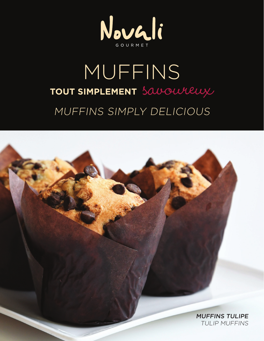

## MUFFINS **TOUT SIMPLEMENT** savoureux MUFFINS SIMPLY DELICIOUS